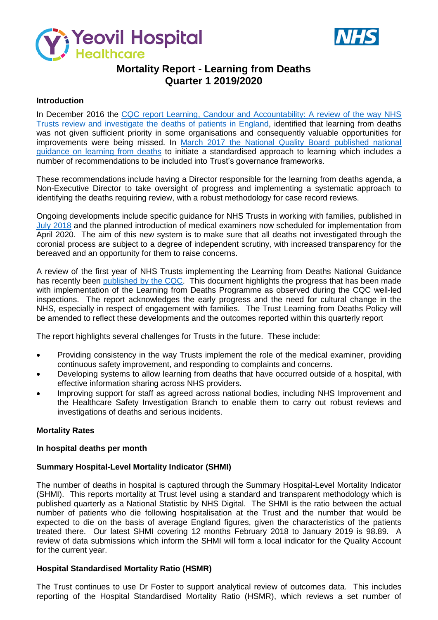



# **Mortality Report - Learning from Deaths Quarter 1 2019/2020**

#### **Introduction**

In December 2016 the CQC report Learning, Candour and Accountability: A review of the way NHS [Trusts review and investigate the](https://www.cqc.org.uk/sites/default/files/20161212-learning-candour-accountability-summary.pdf) deaths of patients in England, identified that learning from deaths was not given sufficient priority in some organisations and consequently valuable opportunities for improvements were being missed. In [March 2017 the National Quality Board published national](https://www.england.nhs.uk/wp-content/uploads/2017/03/nqb-national-guidance-learning-from-deaths.pdf)  [guidance on learning from deaths](https://www.england.nhs.uk/wp-content/uploads/2017/03/nqb-national-guidance-learning-from-deaths.pdf) to initiate a standardised approach to learning which includes a number of recommendations to be included into Trust's governance frameworks.

These recommendations include having a Director responsible for the learning from deaths agenda, a Non-Executive Director to take oversight of progress and implementing a systematic approach to identifying the deaths requiring review, with a robust methodology for case record reviews.

Ongoing developments include specific guidance for NHS Trusts in working with families, published in July [2018](https://www.england.nhs.uk/wp-content/uploads/2018/08/learning-from-deaths-working-with-families-v2.pdf) and the planned introduction of medical examiners now scheduled for implementation from April 2020. The aim of this new system is to make sure that all deaths not investigated through the coronial process are subject to a degree of independent scrutiny, with increased transparency for the bereaved and an opportunity for them to raise concerns.

A review of the first year of NHS Trusts implementing the Learning from Deaths National Guidance has recently been [published by the CQC.](https://www.cqc.org.uk/publications/themed-work/learning-deaths) This document highlights the progress that has been made with implementation of the Learning from Deaths Programme as observed during the CQC well-led inspections. The report acknowledges the early progress and the need for cultural change in the NHS, especially in respect of engagement with families. The Trust Learning from Deaths Policy will be amended to reflect these developments and the outcomes reported within this quarterly report

The report highlights several challenges for Trusts in the future. These include:

- Providing consistency in the way Trusts implement the role of the medical examiner, providing continuous safety improvement, and responding to complaints and concerns.
- Developing systems to allow learning from deaths that have occurred outside of a hospital, with effective information sharing across NHS providers.
- Improving support for staff as agreed across national bodies, including NHS Improvement and the Healthcare Safety Investigation Branch to enable them to carry out robust reviews and investigations of deaths and serious incidents.

### **Mortality Rates**

#### **In hospital deaths per month**

### **Summary Hospital-Level Mortality Indicator (SHMI)**

The number of deaths in hospital is captured through the Summary Hospital-Level Mortality Indicator (SHMI). This reports mortality at Trust level using a standard and transparent methodology which is published quarterly as a National Statistic by NHS Digital. The SHMI is the ratio between the actual number of patients who die following hospitalisation at the Trust and the number that would be expected to die on the basis of average England figures, given the characteristics of the patients treated there. Our latest SHMI covering 12 months February 2018 to January 2019 is 98.89. A review of data submissions which inform the SHMI will form a local indicator for the Quality Account for the current year.

### **Hospital Standardised Mortality Ratio (HSMR)**

The Trust continues to use Dr Foster to support analytical review of outcomes data. This includes reporting of the Hospital Standardised Mortality Ratio (HSMR), which reviews a set number of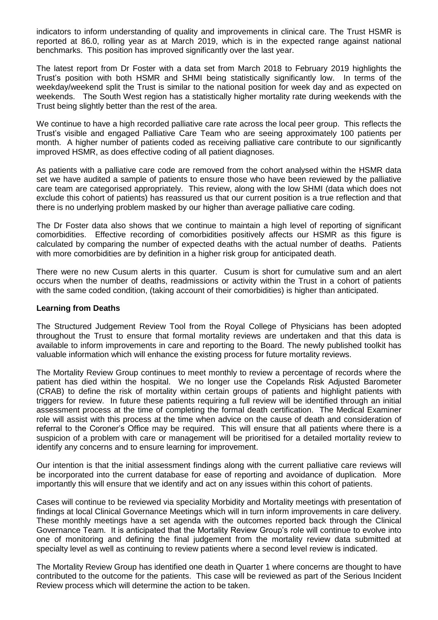indicators to inform understanding of quality and improvements in clinical care. The Trust HSMR is reported at 86.0, rolling year as at March 2019, which is in the expected range against national benchmarks. This position has improved significantly over the last year.

The latest report from Dr Foster with a data set from March 2018 to February 2019 highlights the Trust's position with both HSMR and SHMI being statistically significantly low. In terms of the weekday/weekend split the Trust is similar to the national position for week day and as expected on weekends. The South West region has a statistically higher mortality rate during weekends with the Trust being slightly better than the rest of the area.

We continue to have a high recorded palliative care rate across the local peer group. This reflects the Trust's visible and engaged Palliative Care Team who are seeing approximately 100 patients per month. A higher number of patients coded as receiving palliative care contribute to our significantly improved HSMR, as does effective coding of all patient diagnoses.

As patients with a palliative care code are removed from the cohort analysed within the HSMR data set we have audited a sample of patients to ensure those who have been reviewed by the palliative care team are categorised appropriately. This review, along with the low SHMI (data which does not exclude this cohort of patients) has reassured us that our current position is a true reflection and that there is no underlying problem masked by our higher than average palliative care coding.

The Dr Foster data also shows that we continue to maintain a high level of reporting of significant comorbidities. Effective recording of comorbidities positively affects our HSMR as this figure is calculated by comparing the number of expected deaths with the actual number of deaths. Patients with more comorbidities are by definition in a higher risk group for anticipated death.

There were no new Cusum alerts in this quarter. Cusum is short for cumulative sum and an alert occurs when the number of deaths, readmissions or activity within the Trust in a cohort of patients with the same coded condition, (taking account of their comorbidities) is higher than anticipated.

### **Learning from Deaths**

The Structured Judgement Review Tool from the Royal College of Physicians has been adopted throughout the Trust to ensure that formal mortality reviews are undertaken and that this data is available to inform improvements in care and reporting to the Board. The newly published toolkit has valuable information which will enhance the existing process for future mortality reviews.

The Mortality Review Group continues to meet monthly to review a percentage of records where the patient has died within the hospital. We no longer use the Copelands Risk Adjusted Barometer (CRAB) to define the risk of mortality within certain groups of patients and highlight patients with triggers for review. In future these patients requiring a full review will be identified through an initial assessment process at the time of completing the formal death certification. The Medical Examiner role will assist with this process at the time when advice on the cause of death and consideration of referral to the Coroner's Office may be required. This will ensure that all patients where there is a suspicion of a problem with care or management will be prioritised for a detailed mortality review to identify any concerns and to ensure learning for improvement.

Our intention is that the initial assessment findings along with the current palliative care reviews will be incorporated into the current database for ease of reporting and avoidance of duplication. More importantly this will ensure that we identify and act on any issues within this cohort of patients.

Cases will continue to be reviewed via speciality Morbidity and Mortality meetings with presentation of findings at local Clinical Governance Meetings which will in turn inform improvements in care delivery. These monthly meetings have a set agenda with the outcomes reported back through the Clinical Governance Team. It is anticipated that the Mortality Review Group's role will continue to evolve into one of monitoring and defining the final judgement from the mortality review data submitted at specialty level as well as continuing to review patients where a second level review is indicated.

The Mortality Review Group has identified one death in Quarter 1 where concerns are thought to have contributed to the outcome for the patients. This case will be reviewed as part of the Serious Incident Review process which will determine the action to be taken.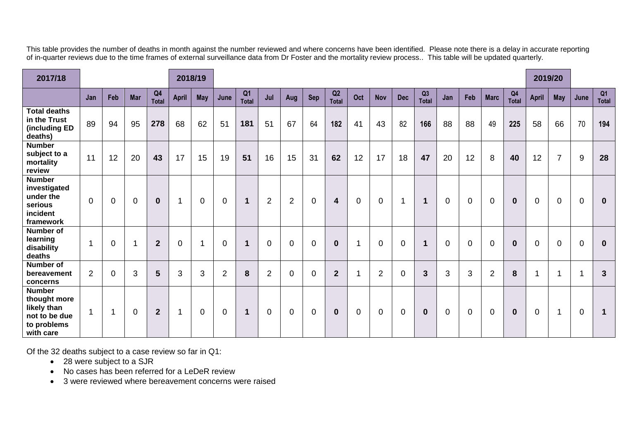This table provides the number of deaths in month against the number reviewed and where concerns have been identified. Please note there is a delay in accurate reporting of in-quarter reviews due to the time frames of external surveillance data from Dr Foster and the mortality review process.. This table will be updated quarterly.

| 2017/18                                                                                   |          |             |                |                    |                | 2018/19     |                |                         |                |                  |                |                    |             |                |                          |                    |             |                |                |                                | 2019/20      |                |                |              |
|-------------------------------------------------------------------------------------------|----------|-------------|----------------|--------------------|----------------|-------------|----------------|-------------------------|----------------|------------------|----------------|--------------------|-------------|----------------|--------------------------|--------------------|-------------|----------------|----------------|--------------------------------|--------------|----------------|----------------|--------------|
|                                                                                           | Jan      | Feb         | <b>Mar</b>     | Q4<br><b>Total</b> | April          | <b>May</b>  | June           | Q <sub>1</sub><br>Total | Jul            | Aug              | <b>Sep</b>     | Q2<br><b>Total</b> | Oct         | <b>Nov</b>     | <b>Dec</b>               | Q3<br><b>Total</b> | Jan         | Feb            | <b>Marc</b>    | Q <sub>4</sub><br><b>Total</b> | <b>April</b> | <b>May</b>     | June           | Q1<br>Total  |
| <b>Total deaths</b><br>in the Trust<br>(including ED<br>deaths)                           | 89       | 94          | 95             | 278                | 68             | 62          | 51             | 181                     | 51             | 67               | 64             | 182                | 41          | 43             | 82                       | 166                | 88          | 88             | 49             | 225                            | 58           | 66             | 70             | 194          |
| <b>Number</b><br>subject to a<br>mortality<br>review                                      | 11       | 12          | 20             | 43                 | 17             | 15          | 19             | 51                      | 16             | 15               | 31             | 62                 | 12          | 17             | 18                       | 47                 | 20          | 12             | 8              | 40                             | 12           | $\overline{7}$ | 9              | 28           |
| <b>Number</b><br>investigated<br>under the<br>serious<br>incident<br>framework            | $\Omega$ | $\mathbf 0$ | $\overline{0}$ | $\bf{0}$           |                | $\mathbf 0$ | $\overline{0}$ | $\mathbf 1$             | $\overline{2}$ | $\overline{2}$   | $\mathbf 0$    | 4                  | $\mathbf 0$ | $\overline{0}$ | $\overline{\phantom{a}}$ | $\mathbf 1$        | $\mathbf 0$ | $\overline{0}$ | $\mathbf 0$    | $\mathbf 0$                    | $\Omega$     | $\mathbf 0$    | $\mathbf 0$    | $\mathbf 0$  |
| <b>Number of</b><br>learning<br>disability<br>deaths                                      | 1        | $\mathbf 0$ | $\mathbf{1}$   | $\overline{2}$     | $\overline{0}$ | -4          | $\overline{0}$ | $\mathbf 1$             | $\overline{0}$ | $\overline{0}$   | $\overline{0}$ | $\bf{0}$           | 1           | $\overline{0}$ | $\overline{0}$           | 1                  | $\Omega$    | $\overline{0}$ | $\overline{0}$ | $\mathbf{0}$                   | $\mathbf 0$  | $\mathbf 0$    | $\overline{0}$ | $\mathbf{0}$ |
| <b>Number of</b><br>bereavement<br>concerns                                               | 2        | $\Omega$    | 3              | 5                  | 3              | 3           | $\overline{2}$ | 8                       | $\overline{2}$ | $\mathbf 0$      | $\Omega$       | $\overline{2}$     |             | $\overline{2}$ | $\mathbf 0$              | $\mathbf{3}$       | 3           | 3              | $\overline{2}$ | 8                              |              | 1              | -1             | $\mathbf{3}$ |
| <b>Number</b><br>thought more<br>likely than<br>not to be due<br>to problems<br>with care | 1        | -1          | $\overline{0}$ | $\overline{2}$     |                | $\mathbf 0$ | $\overline{0}$ | $\mathbf 1$             | $\mathbf 0$    | $\boldsymbol{0}$ | $\mathbf 0$    | $\bf{0}$           | $\pmb{0}$   | $\mathbf 0$    | $\mathbf 0$              | $\mathbf 0$        | 0           | $\mathbf 0$    | $\mathbf 0$    | $\mathbf 0$                    | $\mathbf 0$  | 1              | $\mathbf 0$    | $\mathbf 1$  |

Of the 32 deaths subject to a case review so far in Q1:

- 28 were subject to a SJR
- No cases has been referred for a LeDeR review
- 3 were reviewed where bereavement concerns were raised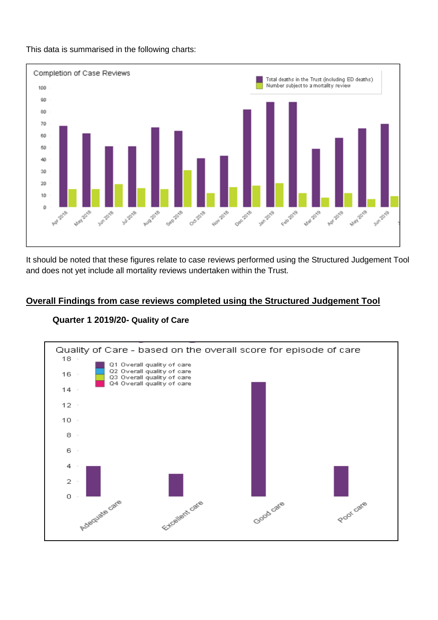

This data is summarised in the following charts:

It should be noted that these figures relate to case reviews performed using the Structured Judgement Tool and does not yet include all mortality reviews undertaken within the Trust.

## **Overall Findings from case reviews completed using the Structured Judgement Tool**



### **Quarter 1 2019/20- Quality of Care**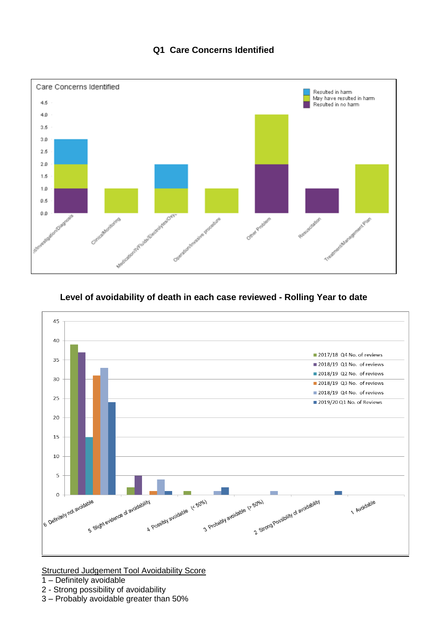# **Q1 Care Concerns Identified**



# **Level of avoidability of death in each case reviewed - Rolling Year to date**



**Structured Judgement Tool Avoidability Score** 

- 1 Definitely avoidable
- 2 Strong possibility of avoidability
- 3 Probably avoidable greater than 50%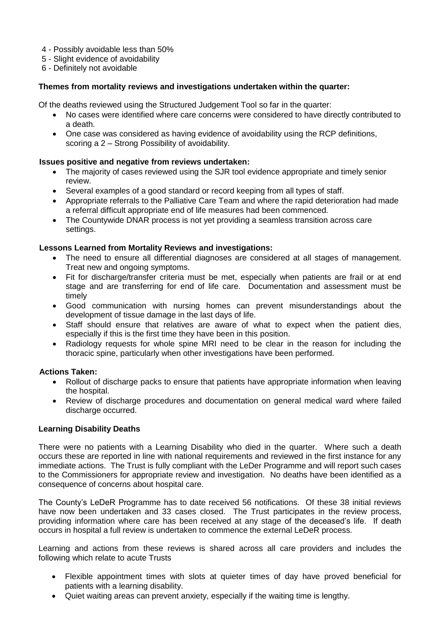- 4 Possibly avoidable less than 50%
- 5 Slight evidence of avoidability
- 6 Definitely not avoidable

### **Themes from mortality reviews and investigations undertaken within the quarter:**

Of the deaths reviewed using the Structured Judgement Tool so far in the quarter:

- No cases were identified where care concerns were considered to have directly contributed to a death.
- One case was considered as having evidence of avoidability using the RCP definitions, scoring a 2 – Strong Possibility of avoidability.

### **Issues positive and negative from reviews undertaken:**

- The majority of cases reviewed using the SJR tool evidence appropriate and timely senior review.
- Several examples of a good standard or record keeping from all types of staff.
- Appropriate referrals to the Palliative Care Team and where the rapid deterioration had made a referral difficult appropriate end of life measures had been commenced.
- The Countywide DNAR process is not yet providing a seamless transition across care settings.

### **Lessons Learned from Mortality Reviews and investigations:**

- The need to ensure all differential diagnoses are considered at all stages of management. Treat new and ongoing symptoms.
- Fit for discharge/transfer criteria must be met, especially when patients are frail or at end stage and are transferring for end of life care. Documentation and assessment must be timely
- Good communication with nursing homes can prevent misunderstandings about the development of tissue damage in the last days of life.
- Staff should ensure that relatives are aware of what to expect when the patient dies, especially if this is the first time they have been in this position.
- Radiology requests for whole spine MRI need to be clear in the reason for including the thoracic spine, particularly when other investigations have been performed.

### **Actions Taken:**

- Rollout of discharge packs to ensure that patients have appropriate information when leaving the hospital.
- Review of discharge procedures and documentation on general medical ward where failed discharge occurred.

### **Learning Disability Deaths**

There were no patients with a Learning Disability who died in the quarter. Where such a death occurs these are reported in line with national requirements and reviewed in the first instance for any immediate actions. The Trust is fully compliant with the LeDer Programme and will report such cases to the Commissioners for appropriate review and investigation. No deaths have been identified as a consequence of concerns about hospital care.

The County's LeDeR Programme has to date received 56 notifications. Of these 38 initial reviews have now been undertaken and 33 cases closed. The Trust participates in the review process, providing information where care has been received at any stage of the deceased's life. If death occurs in hospital a full review is undertaken to commence the external LeDeR process.

Learning and actions from these reviews is shared across all care providers and includes the following which relate to acute Trusts

- Flexible appointment times with slots at quieter times of day have proved beneficial for patients with a learning disability.
- Quiet waiting areas can prevent anxiety, especially if the waiting time is lengthy.